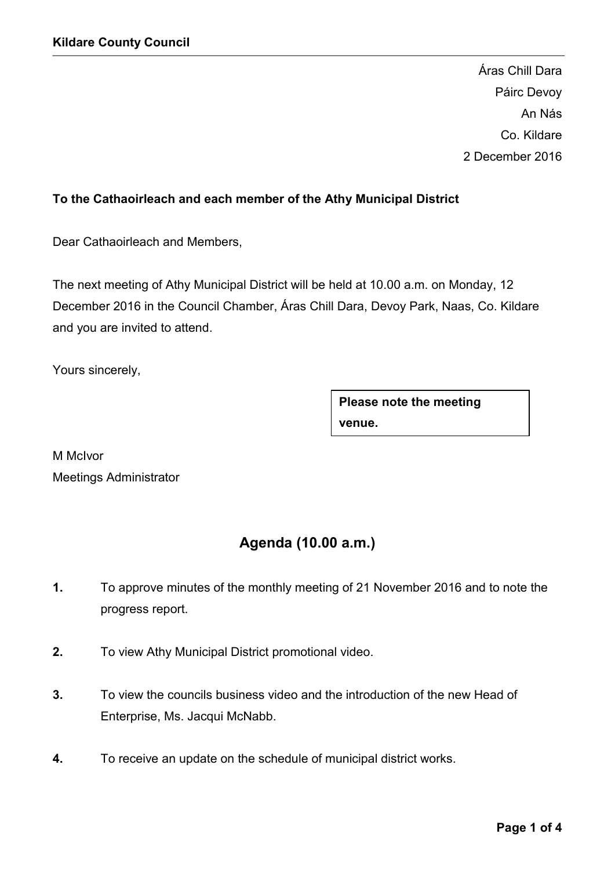Áras Chill Dara Páirc Devoy An Nás Co. Kildare 2 December 2016

## To the Cathaoirleach and each member of the Athy Municipal District

Dear Cathaoirleach and Members,

The next meeting of Athy Municipal District will be held at 10.00 a.m. on Monday, 12 December 2016 in the Council Chamber, Áras Chill Dara, Devoy Park, Naas, Co. Kildare and you are invited to attend.

Yours sincerely,

Please note the meeting venue.

M McIvor Meetings Administrator

# Agenda (10.00 a.m.)

- 1. To approve minutes of the monthly meeting of 21 November 2016 and to note the progress report.
- 2. To view Athy Municipal District promotional video.
- 3. To view the councils business video and the introduction of the new Head of Enterprise, Ms. Jacqui McNabb.
- 4. To receive an update on the schedule of municipal district works.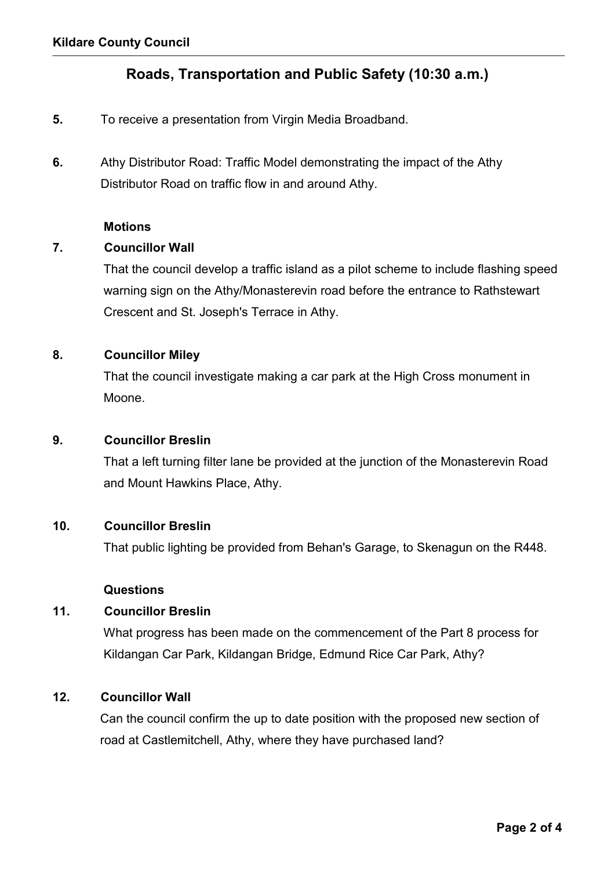## Roads, Transportation and Public Safety (10:30 a.m.)

- 5. To receive a presentation from Virgin Media Broadband.
- 6. Athy Distributor Road: Traffic Model demonstrating the impact of the Athy Distributor Road on traffic flow in and around Athy.

#### **Motions**

### 7. Councillor Wall

 That the council develop a traffic island as a pilot scheme to include flashing speed warning sign on the Athy/Monasterevin road before the entrance to Rathstewart Crescent and St. Joseph's Terrace in Athy.

## 8. Councillor Miley

 That the council investigate making a car park at the High Cross monument in Moone.

#### 9. Councillor Breslin

 That a left turning filter lane be provided at the junction of the Monasterevin Road and Mount Hawkins Place, Athy.

#### 10. Councillor Breslin

That public lighting be provided from Behan's Garage, to Skenagun on the R448.

#### Questions

#### 11. Councillor Breslin

 What progress has been made on the commencement of the Part 8 process for Kildangan Car Park, Kildangan Bridge, Edmund Rice Car Park, Athy?

## 12. Councillor Wall

 Can the council confirm the up to date position with the proposed new section of road at Castlemitchell, Athy, where they have purchased land?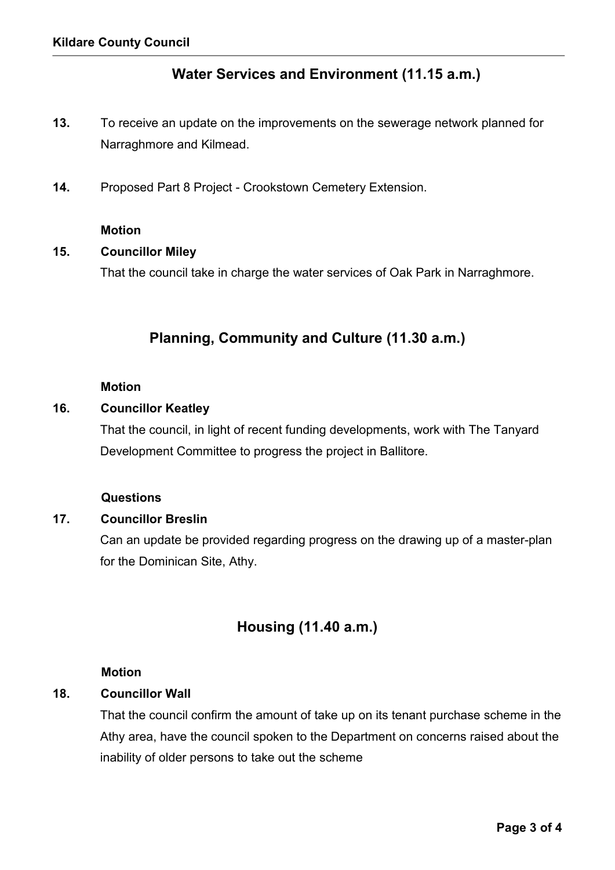## Water Services and Environment (11.15 a.m.)

- 13. To receive an update on the improvements on the sewerage network planned for Narraghmore and Kilmead.
- 14. Proposed Part 8 Project Crookstown Cemetery Extension.

#### Motion

#### 15. Councillor Miley

That the council take in charge the water services of Oak Park in Narraghmore.

## Planning, Community and Culture (11.30 a.m.)

#### Motion

#### 16. Councillor Keatley

 That the council, in light of recent funding developments, work with The Tanyard Development Committee to progress the project in Ballitore.

#### Questions

## 17. Councillor Breslin

 Can an update be provided regarding progress on the drawing up of a master-plan for the Dominican Site, Athy.

## Housing (11.40 a.m.)

#### Motion

#### 18. Councillor Wall

 That the council confirm the amount of take up on its tenant purchase scheme in the Athy area, have the council spoken to the Department on concerns raised about the inability of older persons to take out the scheme